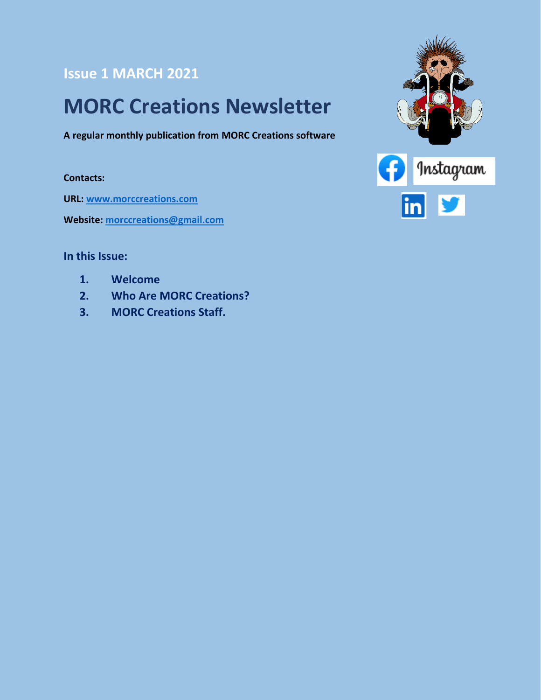#### **Issue 1 MARCH 2021**

### **MORC Creations Newsletter**

**A regular monthly publication from MORC Creations software**

**Contacts:**

**URL: [www.morccreations.com](http://www.morccreations.com/)**

**Website: [morccreations@gmail.com](mailto:morccreations@gmail.com)**



#### **In this Issue:**

- **1. Welcome**
- **2. Who Are MORC Creations?**
- **3. MORC Creations Staff.**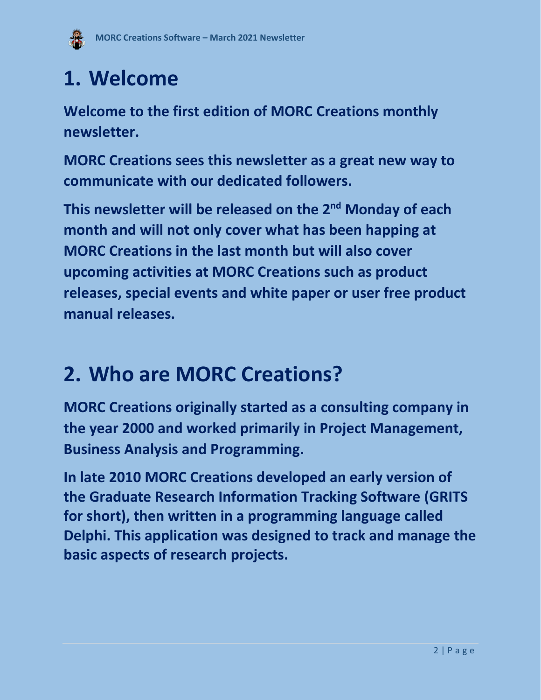

# **1. Welcome**

**Welcome to the first edition of MORC Creations monthly newsletter.**

**MORC Creations sees this newsletter as a great new way to communicate with our dedicated followers.**

**This newsletter will be released on the 2 nd Monday of each month and will not only cover what has been happing at MORC Creations in the last month but will also cover upcoming activities at MORC Creations such as product releases, special events and white paper or user free product manual releases.**

#### **2. Who are MORC Creations?**

**MORC Creations originally started as a consulting company in the year 2000 and worked primarily in Project Management, Business Analysis and Programming.**

**In late 2010 MORC Creations developed an early version of the Graduate Research Information Tracking Software (GRITS for short), then written in a programming language called Delphi. This application was designed to track and manage the basic aspects of research projects.**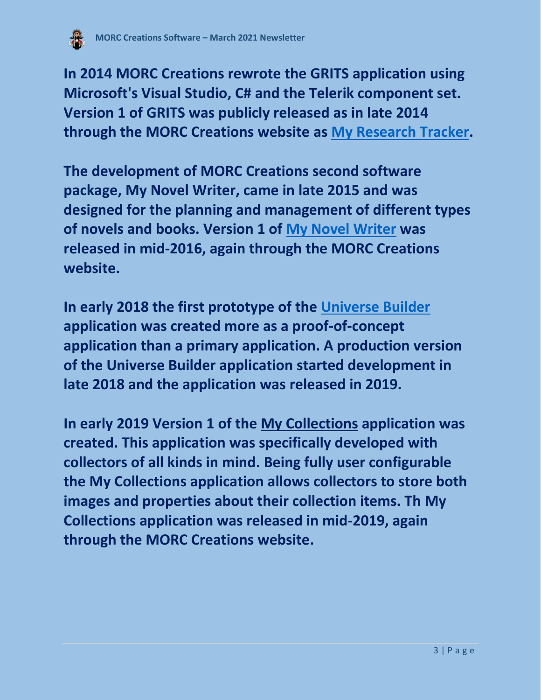

**In 2014 MORC Creations rewrote the GRITS application using Microsoft's Visual Studio, C# and the Telerik component set. Version 1 of GRITS was publicly released as in late 2014 through the MORC Creations website as [My Research Tracker.](https://www.morccreations.co/general-research-tracking)**

**The development of MORC Creations second software package, My Novel Writer, came in late 2015 and was designed for the planning and management of different types of novels and books. Version 1 of [My Novel Writer](https://www.morccreations.co/my-novel-writer) was released in mid-2016, again through the MORC Creations website.**

**In early 2018 the first prototype of the [Universe Builder](https://www.morccreations.co/universe-builder) application was created more as a proof-of-concept application than a primary application. A production version of the Universe Builder application started development in late 2018 and the application was released in 2019.**

**In early 2019 Version 1 of the [My Collections](https://www.morccreations.co/my-collections) application was created. This application was specifically developed with collectors of all kinds in mind. Being fully user configurable the My Collections application allows collectors to store both images and properties about their collection items. Th My Collections application was released in mid-2019, again through the MORC Creations website.**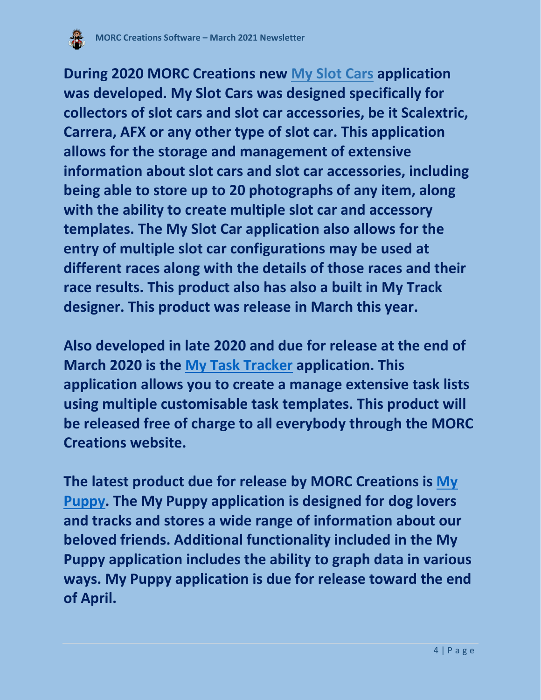

**During 2020 MORC Creations new My [Slot Cars](https://www.morccreations.co/my-slot-cars-2020) application was developed. My Slot Cars was designed specifically for collectors of slot cars and slot car accessories, be it Scalextric, Carrera, AFX or any other type of slot car. This application allows for the storage and management of extensive information about slot cars and slot car accessories, including being able to store up to 20 photographs of any item, along with the ability to create multiple slot car and accessory templates. The My Slot Car application also allows for the entry of multiple slot car configurations may be used at different races along with the details of those races and their race results. This product also has also a built in My Track designer. This product was release in March this year.** 

**Also developed in late 2020 and due for release at the end of March 2020 is the [My Task Tracker](https://www.morccreations.co/my-task-tacker) application. This application allows you to create a manage extensive task lists using multiple customisable task templates. This product will be released free of charge to all everybody through the MORC Creations website.**

**The latest product due for release by MORC Creations is [My](https://www.morccreations.co/my-puppy)  [Puppy.](https://www.morccreations.co/my-puppy) The My Puppy application is designed for dog lovers and tracks and stores a wide range of information about our beloved friends. Additional functionality included in the My Puppy application includes the ability to graph data in various ways. My Puppy application is due for release toward the end of April.**